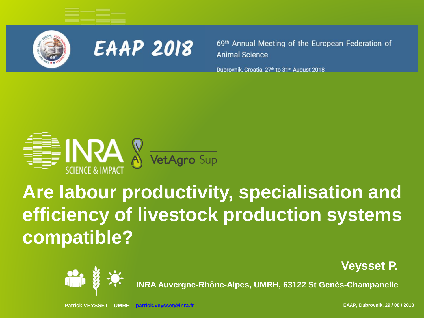



69<sup>th</sup> Annual Meeting of the European Federation of **Animal Science** 

Dubrovnik, Croatia, 27<sup>th</sup> to 31<sup>st</sup> August 2018



# **Are labour productivity, specialisation and efficiency of livestock production systems compatible?**

**Veysset P.** 



**INRA Auvergne-Rhône-Alpes, UMRH, 63122 St Genès-Champanelle**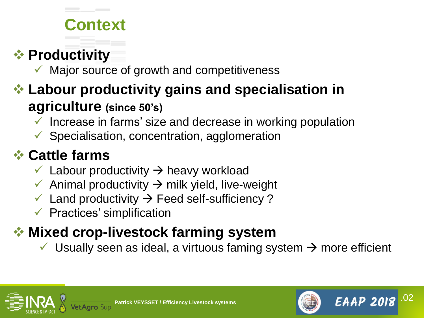# **Context**

### ❖ **Productivity**

Major source of growth and competitiveness

### ❖ **Labour productivity gains and specialisation in agriculture (since 50's)**

- Increase in farms' size and decrease in working population
- $\checkmark$  Specialisation, concentration, agglomeration

### ❖ **Cattle farms**

- $\checkmark$  Labour productivity  $\to$  heavy workload
- $\checkmark$  Animal productivity  $\to$  milk yield, live-weight
- $\checkmark$  Land productivity  $\to$  Feed self-sufficiency ?
- $\checkmark$  Practices' simplification

# ❖ **Mixed crop-livestock farming system**

 $\checkmark$  Usually seen as ideal, a virtuous faming system  $\rightarrow$  more efficient



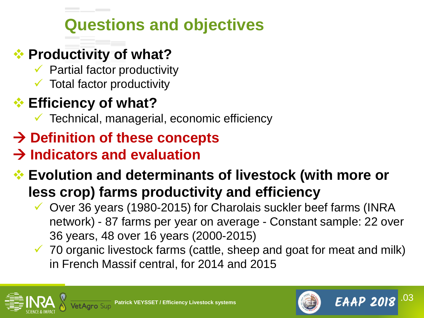# **Questions and objectives**

#### ❖ **Productivity of what?**

- $\checkmark$  Partial factor productivity
- $\checkmark$  Total factor productivity

### ❖ **Efficiency of what?**

- $\checkmark$  Technical, managerial, economic efficiency
- → **Definition of these concepts**

### → **Indicators and evaluation**

### ❖ **Evolution and determinants of livestock (with more or less crop) farms productivity and efficiency**

- ✓ Over 36 years (1980-2015) for Charolais suckler beef farms (INRA network) - 87 farms per year on average - Constant sample: 22 over 36 years, 48 over 16 years (2000-2015)
- $\checkmark$  70 organic livestock farms (cattle, sheep and goat for meat and milk) in French Massif central, for 2014 and 2015





.03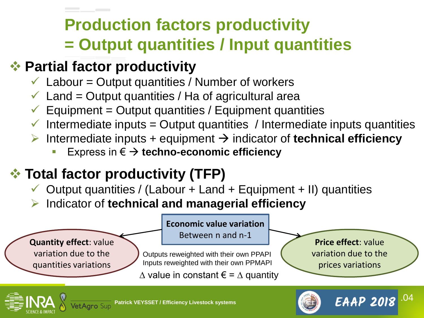# **Production factors productivity = Output quantities / Input quantities**

#### ❖ **Partial factor productivity**

- $\checkmark$  Labour = Output quantities / Number of workers
- $\checkmark$  Land = Output quantities / Ha of agricultural area
- $\checkmark$  Equipment = Output quantities / Equipment quantities
- $\checkmark$  Intermediate inputs = Output quantities / Intermediate inputs quantities
- ➢ Intermediate inputs + equipment → indicator of **technical efficiency**
	- Express in €  $\rightarrow$  techno-economic efficiency

### ❖ **Total factor productivity (TFP)**

- $\checkmark$  Output quantities / (Labour + Land + Equipment + II) quantities
- ➢ Indicator of **technical and managerial efficiency**

**Quantity effect**: value variation due to the quantities variations

#### **Economic value variation**

Between n and n-1

Outputs reweighted with their own PPAPI Inputs reweighted with their own PPMAPI

 $\triangle$  value in constant € =  $\triangle$  quantity

**Price effect**: value variation due to the prices variations

**EAAP 2018** 

.04

![](_page_3_Picture_17.jpeg)

![](_page_3_Picture_20.jpeg)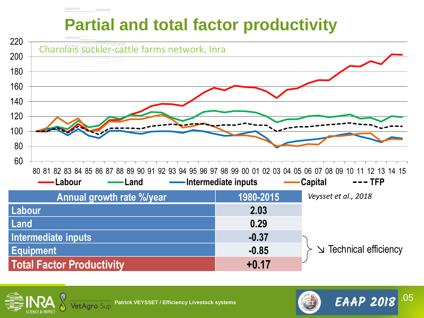# **Partial and total factor productivity**

![](_page_4_Figure_1.jpeg)

**Total Factor Productivity +0.17**

↘ Technical efficiency

**EAAP 2018** 

.05

![](_page_4_Picture_4.jpeg)

![](_page_4_Picture_6.jpeg)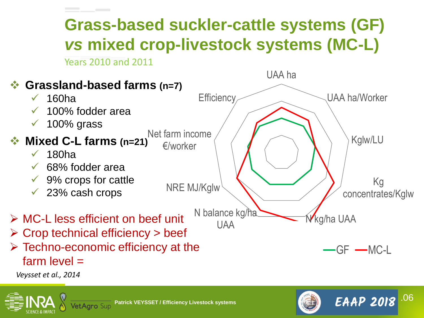# **Grass-based suckler-cattle systems (GF)** *vs* **mixed crop-livestock systems (MC-L)**

Years 2010 and 2011

![](_page_5_Figure_2.jpeg)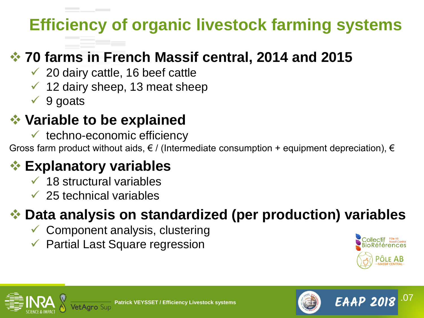# **Efficiency of organic livestock farming systems**

#### ❖ **70 farms in French Massif central, 2014 and 2015**

- $\checkmark$  20 dairy cattle, 16 beef cattle
- $\checkmark$  12 dairy sheep, 13 meat sheep
- $\sqrt{9}$  goats

### ❖ **Variable to be explained**

 $\checkmark$  techno-economic efficiency

Gross farm product without aids,  $\epsilon$  / (Intermediate consumption + equipment depreciation),  $\epsilon$ 

### ❖ **Explanatory variables**

- $\checkmark$  18 structural variables
- $\checkmark$  25 technical variables

#### ❖ **Data analysis on standardized (per production) variables**

- $\checkmark$  Component analysis, clustering
- ✓ Partial Last Square regression

![](_page_6_Picture_14.jpeg)

**EAAP 2018** 

.07

![](_page_6_Picture_15.jpeg)

![](_page_6_Picture_17.jpeg)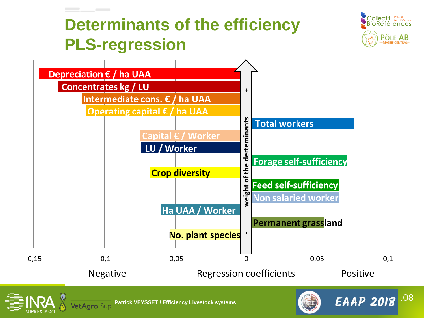# **Determinants of the efficiency PLS-regression**

![](_page_7_Picture_1.jpeg)

.08

![](_page_7_Figure_2.jpeg)

![](_page_7_Picture_3.jpeg)

![](_page_7_Picture_5.jpeg)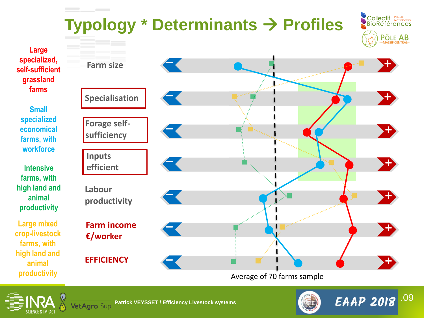![](_page_8_Figure_0.jpeg)

![](_page_8_Picture_2.jpeg)

![](_page_8_Picture_3.jpeg)

![](_page_8_Picture_5.jpeg)

.09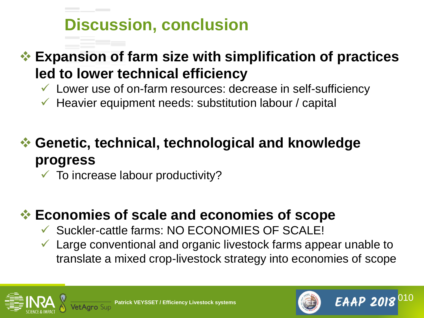# **Discussion, conclusion**

#### ❖ **Expansion of farm size with simplification of practices led to lower technical efficiency**

- $\checkmark$  Lower use of on-farm resources: decrease in self-sufficiency
- $\checkmark$  Heavier equipment needs: substitution labour / capital

### ❖ **Genetic, technical, technological and knowledge progress**

 $\checkmark$  To increase labour productivity?

#### ❖ **Economies of scale and economies of scope**

- ✓ Suckler-cattle farms: NO ECONOMIES OF SCALE!
- $\checkmark$  Large conventional and organic livestock farms appear unable to translate a mixed crop-livestock strategy into economies of scope

![](_page_9_Picture_9.jpeg)

![](_page_9_Picture_11.jpeg)

.010